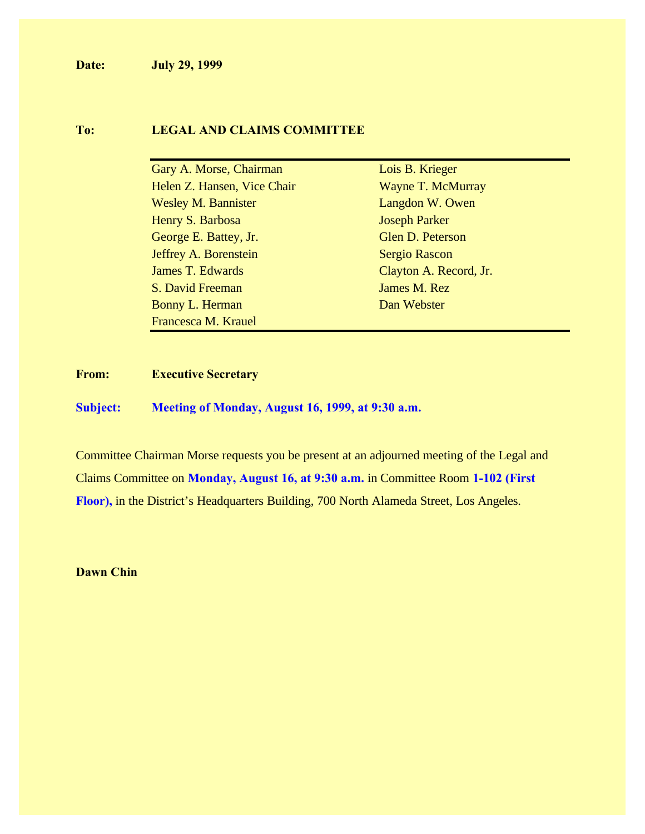**Date: July 29, 1999**

# **To: LEGAL AND CLAIMS COMMITTEE**

| Gary A. Morse, Chairman     | Lois B. Krieger        |
|-----------------------------|------------------------|
| Helen Z. Hansen, Vice Chair | Wayne T. McMurray      |
| <b>Wesley M. Bannister</b>  | Langdon W. Owen        |
| Henry S. Barbosa            | <b>Joseph Parker</b>   |
| George E. Battey, Jr.       | Glen D. Peterson       |
| Jeffrey A. Borenstein       | <b>Sergio Rascon</b>   |
| <b>James T. Edwards</b>     | Clayton A. Record, Jr. |
| S. David Freeman            | James M. Rez           |
| Bonny L. Herman             | Dan Webster            |
| Francesca M. Krauel         |                        |

## **From: Executive Secretary**

**Subject: Meeting of Monday, August 16, 1999, at 9:30 a.m.**

Committee Chairman Morse requests you be present at an adjourned meeting of the Legal and Claims Committee on **Monday, August 16, at 9:30 a.m.** in Committee Room **1-102 (First Floor),** in the District's Headquarters Building, 700 North Alameda Street, Los Angeles.

**Dawn Chin**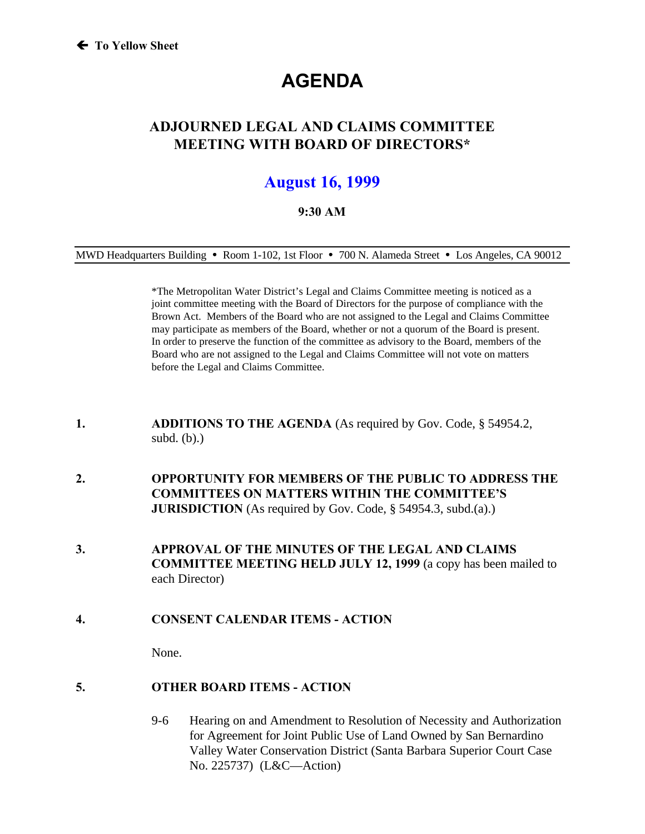# **AGENDA**

# **ADJOURNED LEGAL AND CLAIMS COMMITTEE MEETING WITH BOARD OF DIRECTORS\***

# **August 16, 1999**

## **9:30 AM**

MWD Headquarters Building **ü** Room 1-102, 1st Floor **ü** 700 N. Alameda Street **ü** Los Angeles, CA 90012

\*The Metropolitan Water District's Legal and Claims Committee meeting is noticed as a joint committee meeting with the Board of Directors for the purpose of compliance with the Brown Act. Members of the Board who are not assigned to the Legal and Claims Committee may participate as members of the Board, whether or not a quorum of the Board is present. In order to preserve the function of the committee as advisory to the Board, members of the Board who are not assigned to the Legal and Claims Committee will not vote on matters before the Legal and Claims Committee.

- **1. ADDITIONS TO THE AGENDA** (As required by Gov. Code, § 54954.2, subd. (b).)
- **2. OPPORTUNITY FOR MEMBERS OF THE PUBLIC TO ADDRESS THE COMMITTEES ON MATTERS WITHIN THE COMMITTEE'S JURISDICTION** (As required by Gov. Code, § 54954.3, subd.(a).)
- **3. APPROVAL OF THE MINUTES OF THE LEGAL AND CLAIMS COMMITTEE MEETING HELD JULY 12, 1999** (a copy has been mailed to each Director)
- **4. CONSENT CALENDAR ITEMS ACTION**

None.

# **5. OTHER BOARD ITEMS - ACTION**

9-6 Hearing on and Amendment to Resolution of Necessity and Authorization for Agreement for Joint Public Use of Land Owned by San Bernardino Valley Water Conservation District (Santa Barbara Superior Court Case No. 225737) (L&C—Action)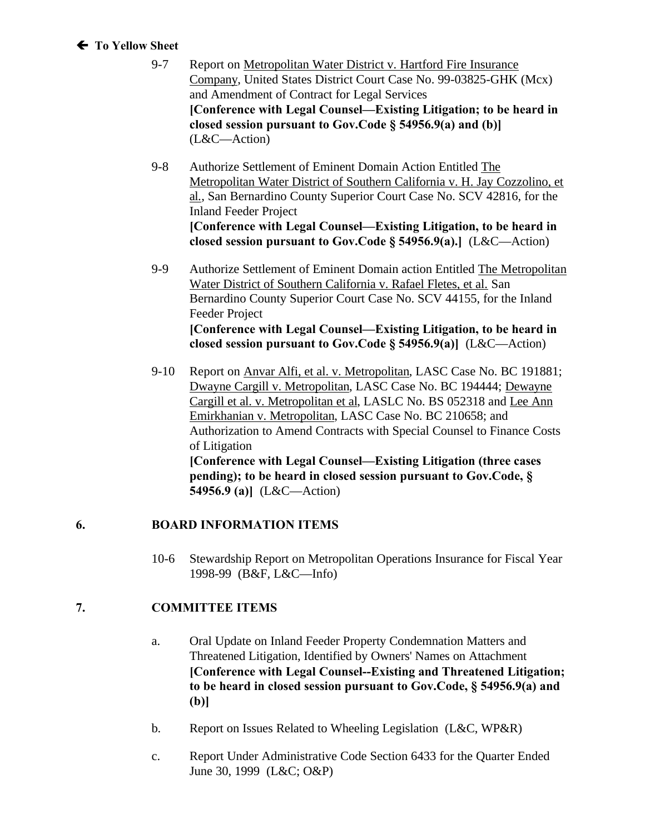# **Á To Yellow Sheet**

- 9-7 Report on Metropolitan Water District v. Hartford Fire Insurance Company, United States District Court Case No. 99-03825-GHK (Mcx) and Amendment of Contract for Legal Services **[Conference with Legal Counsel—Existing Litigation; to be heard in closed session pursuant to Gov.Code § 54956.9(a) and (b)]**  (L&C—Action)
- 9-8 Authorize Settlement of Eminent Domain Action Entitled The Metropolitan Water District of Southern California v. H. Jay Cozzolino, et al., San Bernardino County Superior Court Case No. SCV 42816, for the Inland Feeder Project **[Conference with Legal Counsel—Existing Litigation, to be heard in closed session pursuant to Gov.Code § 54956.9(a).]** (L&C—Action)
- 9-9 Authorize Settlement of Eminent Domain action Entitled The Metropolitan Water District of Southern California v. Rafael Fletes, et al. San Bernardino County Superior Court Case No. SCV 44155, for the Inland Feeder Project **[Conference with Legal Counsel—Existing Litigation, to be heard in closed session pursuant to Gov.Code § 54956.9(a)]** (L&C—Action)
- 9-10 Report on Anvar Alfi, et al. v. Metropolitan, LASC Case No. BC 191881; Dwayne Cargill v. Metropolitan, LASC Case No. BC 194444; Dewayne Cargill et al. v. Metropolitan et al, LASLC No. BS 052318 and Lee Ann Emirkhanian v. Metropolitan, LASC Case No. BC 210658; and Authorization to Amend Contracts with Special Counsel to Finance Costs of Litigation **[Conference with Legal Counsel—Existing Litigation (three cases pending); to be heard in closed session pursuant to Gov.Code, § 54956.9 (a)]** (L&C—Action)

# **6. BOARD INFORMATION ITEMS**

10-6 Stewardship Report on Metropolitan Operations Insurance for Fiscal Year 1998-99 (B&F, L&C—Info)

# **7. COMMITTEE ITEMS**

- a. Oral Update on Inland Feeder Property Condemnation Matters and Threatened Litigation, Identified by Owners' Names on Attachment **[Conference with Legal Counsel--Existing and Threatened Litigation; to be heard in closed session pursuant to Gov.Code, § 54956.9(a) and (b)]**
- b. Report on Issues Related to Wheeling Legislation (L&C, WP&R)
- c. Report Under Administrative Code Section 6433 for the Quarter Ended June 30, 1999 (L&C; O&P)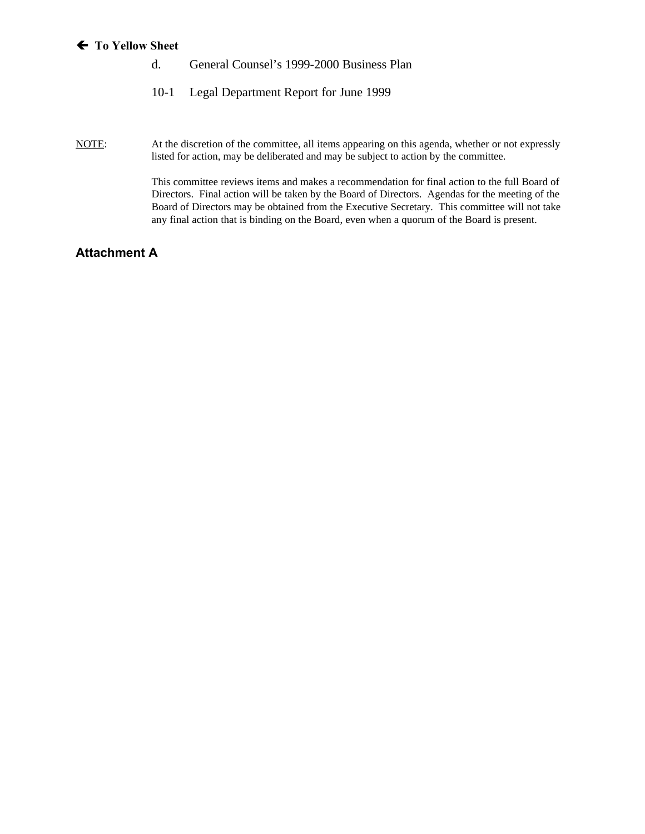#### **Á To Yellow Sheet**

- d. General Counsel's 1999-2000 Business Plan
- 10-1 Legal Department Report for June 1999

NOTE: At the discretion of the committee, all items appearing on this agenda, whether or not expressly listed for action, may be deliberated and may be subject to action by the committee.

> This committee reviews items and makes a recommendation for final action to the full Board of Directors. Final action will be taken by the Board of Directors. Agendas for the meeting of the Board of Directors may be obtained from the Executive Secretary. This committee will not take any final action that is binding on the Board, even when a quorum of the Board is present.

# **Attachment A**